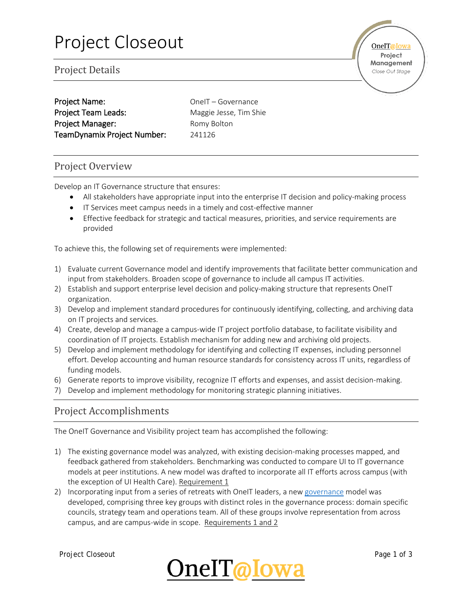Project Details

| <b>Project Name:</b>        |
|-----------------------------|
| <b>Project Team Leads:</b>  |
| <b>Project Manager:</b>     |
| TeamDynamix Project Number: |

OneIT – Governance Maggie Jesse, Tim Shie Romy Bolton 241126

### Project Overview

Develop an IT Governance structure that ensures:

- All stakeholders have appropriate input into the enterprise IT decision and policy-making process
- IT Services meet campus needs in a timely and cost-effective manner
- Effective feedback for strategic and tactical measures, priorities, and service requirements are provided

To achieve this, the following set of requirements were implemented:

- 1) Evaluate current Governance model and identify improvements that facilitate better communication and input from stakeholders. Broaden scope of governance to include all campus IT activities.
- 2) Establish and support enterprise level decision and policy-making structure that represents OneIT organization.
- 3) Develop and implement standard procedures for continuously identifying, collecting, and archiving data on IT projects and services.
- 4) Create, develop and manage a campus-wide IT project portfolio database, to facilitate visibility and coordination of IT projects. Establish mechanism for adding new and archiving old projects.
- 5) Develop and implement methodology for identifying and collecting IT expenses, including personnel effort. Develop accounting and human resource standards for consistency across IT units, regardless of funding models.
- 6) Generate reports to improve visibility, recognize IT efforts and expenses, and assist decision-making.
- 7) Develop and implement methodology for monitoring strategic planning initiatives.

### Project Accomplishments

The OneIT Governance and Visibility project team has accomplished the following:

- 1) The existing governance model was analyzed, with existing decision-making processes mapped, and feedback gathered from stakeholders. Benchmarking was conducted to compare UI to IT governance models at peer institutions. A new model was drafted to incorporate all IT efforts across campus (with the exception of UI Health Care). Requirement 1
- 2) Incorporating input from a series of retreats with OneIT leaders, a new [governance](https://oneit.uiowa.edu/governance) model was developed, comprising three key groups with distinct roles in the governance process: domain specific councils, strategy team and operations team. All of these groups involve representation from across campus, and are campus-wide in scope. Requirements 1 and 2



**OneIT**@Iowa Project Management Close Out Stage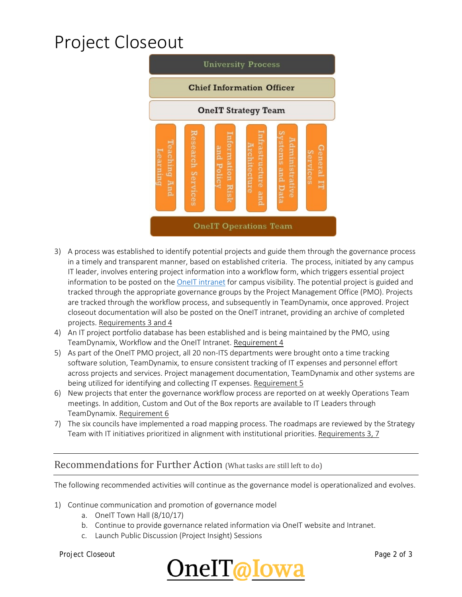# Project Closeout



- 3) A process was established to identify potential projects and guide them through the governance process in a timely and transparent manner, based on established criteria. The process, initiated by any campus IT leader, involves entering project information into a workflow form, which triggers essential project information to be posted on the **OneIT** intranet for campus visibility. The potential project is guided and tracked through the appropriate governance groups by the Project Management Office (PMO). Projects are tracked through the workflow process, and subsequently in TeamDynamix, once approved. Project closeout documentation will also be posted on the OneIT intranet, providing an archive of completed projects. Requirements 3 and 4
- 4) An IT project portfolio database has been established and is being maintained by the PMO, using TeamDynamix, Workflow and the OneIT Intranet. Requirement 4
- 5) As part of the OneIT PMO project, all 20 non-ITS departments were brought onto a time tracking software solution, TeamDynamix, to ensure consistent tracking of IT expenses and personnel effort across projects and services. Project management documentation, TeamDynamix and other systems are being utilized for identifying and collecting IT expenses. Requirement 5
- 6) New projects that enter the governance workflow process are reported on at weekly Operations Team meetings. In addition, Custom and Out of the Box reports are available to IT Leaders through TeamDynamix. Requirement 6
- 7) The six councils have implemented a road mapping process. The roadmaps are reviewed by the Strategy Team with IT initiatives prioritized in alignment with institutional priorities. Requirements 3, 7

#### Recommendations for Further Action (What tasks are still left to do)

The following recommended activities will continue as the governance model is operationalized and evolves.

- 1) Continue communication and promotion of governance model
	- a. OneIT Town Hall (8/10/17)
	- b. Continue to provide governance related information via OneIT website and Intranet.
	- c. Launch Public Discussion (Project Insight) Sessions